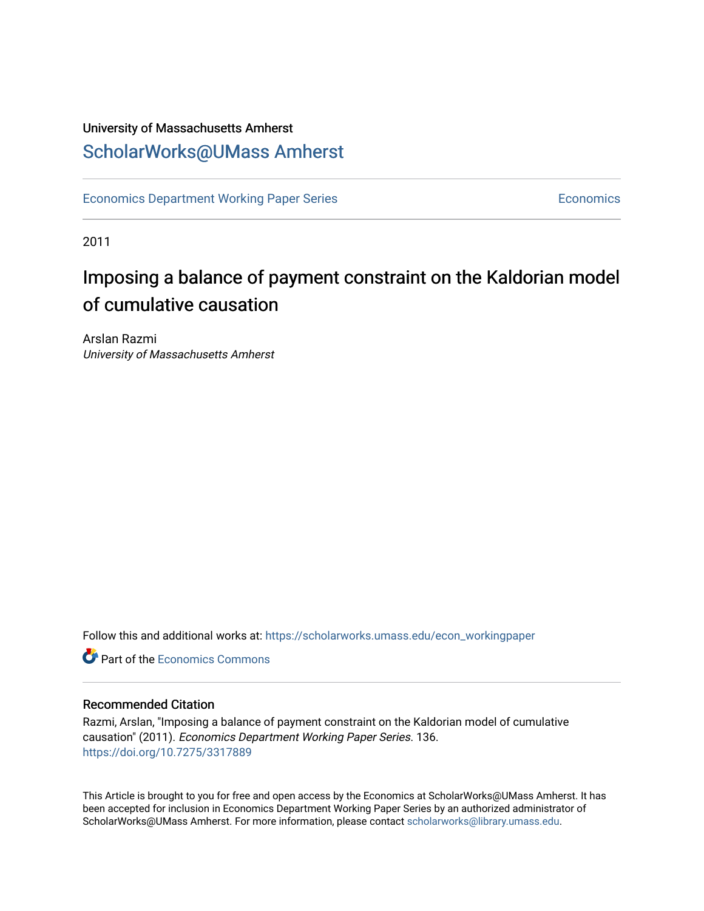## University of Massachusetts Amherst [ScholarWorks@UMass Amherst](https://scholarworks.umass.edu/)

[Economics Department Working Paper Series](https://scholarworks.umass.edu/econ_workingpaper) **Economics** Economics

2011

## Imposing a balance of payment constraint on the Kaldorian model of cumulative causation

Arslan Razmi University of Massachusetts Amherst

Follow this and additional works at: [https://scholarworks.umass.edu/econ\\_workingpaper](https://scholarworks.umass.edu/econ_workingpaper?utm_source=scholarworks.umass.edu%2Fecon_workingpaper%2F136&utm_medium=PDF&utm_campaign=PDFCoverPages) 

**C** Part of the [Economics Commons](http://network.bepress.com/hgg/discipline/340?utm_source=scholarworks.umass.edu%2Fecon_workingpaper%2F136&utm_medium=PDF&utm_campaign=PDFCoverPages)

#### Recommended Citation

Razmi, Arslan, "Imposing a balance of payment constraint on the Kaldorian model of cumulative causation" (2011). Economics Department Working Paper Series. 136. <https://doi.org/10.7275/3317889>

This Article is brought to you for free and open access by the Economics at ScholarWorks@UMass Amherst. It has been accepted for inclusion in Economics Department Working Paper Series by an authorized administrator of ScholarWorks@UMass Amherst. For more information, please contact [scholarworks@library.umass.edu.](mailto:scholarworks@library.umass.edu)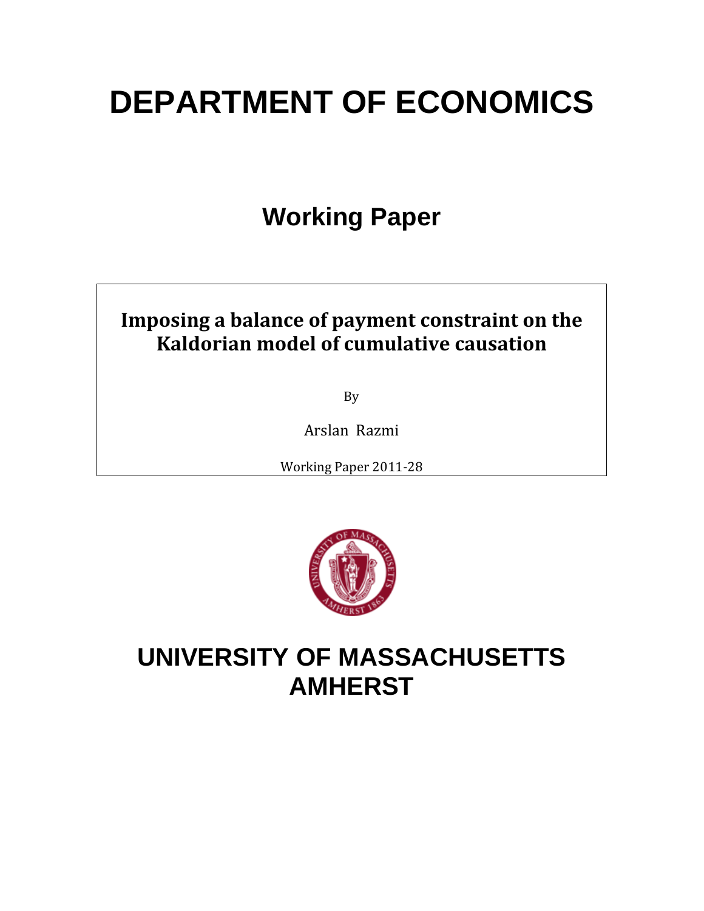# **DEPARTMENT OF ECONOMICS**

## **Working Paper**

## **Imposing a balance of payment constraint on the Kaldorian model of cumulative causation**

By

Arslan Razmi

Working Paper 2011‐28



## **UNIVERSITY OF MASSACHUSETTS AMHERST**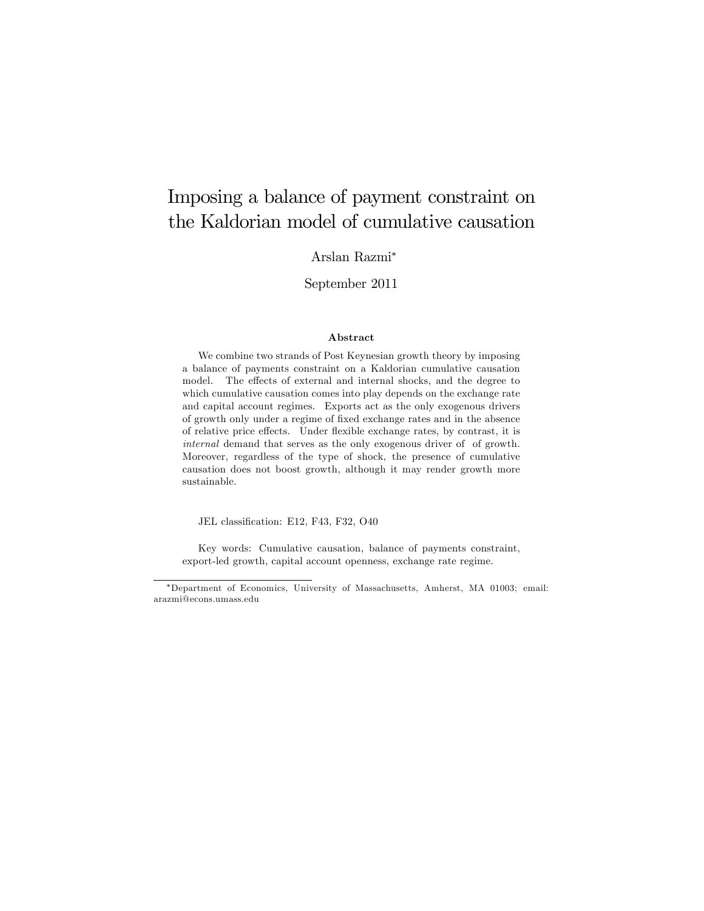## Imposing a balance of payment constraint on the Kaldorian model of cumulative causation

### Arslan Razmi

September 2011

#### Abstract

We combine two strands of Post Keynesian growth theory by imposing a balance of payments constraint on a Kaldorian cumulative causation model. The effects of external and internal shocks, and the degree to which cumulative causation comes into play depends on the exchange rate and capital account regimes. Exports act as the only exogenous drivers of growth only under a regime of Öxed exchange rates and in the absence of relative price effects. Under flexible exchange rates, by contrast, it is internal demand that serves as the only exogenous driver of of growth. Moreover, regardless of the type of shock, the presence of cumulative causation does not boost growth, although it may render growth more sustainable.

JEL classification: E12, F43, F32, O40

Key words: Cumulative causation, balance of payments constraint, export-led growth, capital account openness, exchange rate regime.

Department of Economics, University of Massachusetts, Amherst, MA 01003; email: arazmi@econs.umass.edu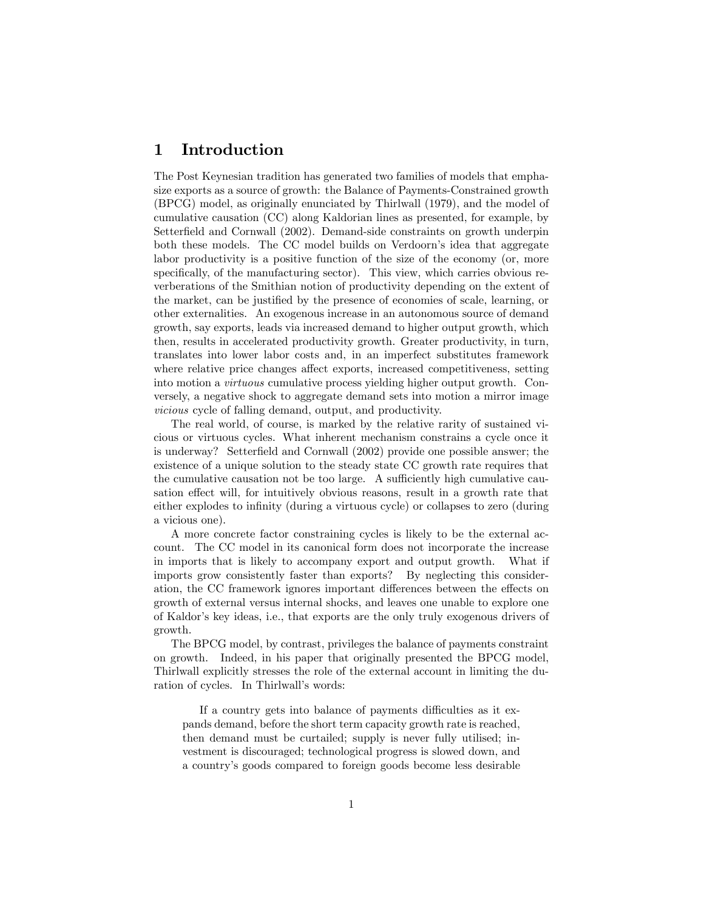## 1 Introduction

The Post Keynesian tradition has generated two families of models that emphasize exports as a source of growth: the Balance of Payments-Constrained growth (BPCG) model, as originally enunciated by Thirlwall (1979), and the model of cumulative causation (CC) along Kaldorian lines as presented, for example, by Setterfield and Cornwall (2002). Demand-side constraints on growth underpin both these models. The CC model builds on Verdoorn's idea that aggregate labor productivity is a positive function of the size of the economy (or, more specifically, of the manufacturing sector). This view, which carries obvious reverberations of the Smithian notion of productivity depending on the extent of the market, can be justified by the presence of economies of scale, learning, or other externalities. An exogenous increase in an autonomous source of demand growth, say exports, leads via increased demand to higher output growth, which then, results in accelerated productivity growth. Greater productivity, in turn, translates into lower labor costs and, in an imperfect substitutes framework where relative price changes affect exports, increased competitiveness, setting into motion a virtuous cumulative process yielding higher output growth. Conversely, a negative shock to aggregate demand sets into motion a mirror image vicious cycle of falling demand, output, and productivity.

The real world, of course, is marked by the relative rarity of sustained vicious or virtuous cycles. What inherent mechanism constrains a cycle once it is underway? Setterfield and Cornwall (2002) provide one possible answer; the existence of a unique solution to the steady state CC growth rate requires that the cumulative causation not be too large. A sufficiently high cumulative causation effect will, for intuitively obvious reasons, result in a growth rate that either explodes to infinity (during a virtuous cycle) or collapses to zero (during a vicious one).

A more concrete factor constraining cycles is likely to be the external account. The CC model in its canonical form does not incorporate the increase in imports that is likely to accompany export and output growth. What if imports grow consistently faster than exports? By neglecting this consideration, the CC framework ignores important differences between the effects on growth of external versus internal shocks, and leaves one unable to explore one of Kaldorís key ideas, i.e., that exports are the only truly exogenous drivers of growth.

The BPCG model, by contrast, privileges the balance of payments constraint on growth. Indeed, in his paper that originally presented the BPCG model, Thirlwall explicitly stresses the role of the external account in limiting the duration of cycles. In Thirlwall's words:

If a country gets into balance of payments difficulties as it expands demand, before the short term capacity growth rate is reached, then demand must be curtailed; supply is never fully utilised; investment is discouraged; technological progress is slowed down, and a countryís goods compared to foreign goods become less desirable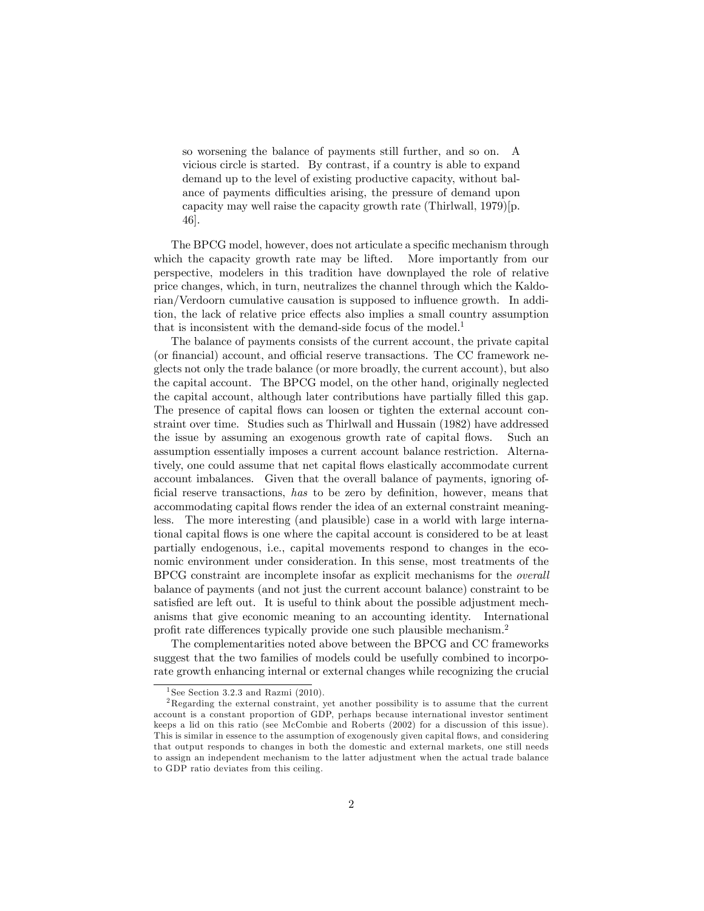so worsening the balance of payments still further, and so on. A vicious circle is started. By contrast, if a country is able to expand demand up to the level of existing productive capacity, without balance of payments difficulties arising, the pressure of demand upon capacity may well raise the capacity growth rate (Thirlwall, 1979)[p. 46].

The BPCG model, however, does not articulate a specific mechanism through which the capacity growth rate may be lifted. More importantly from our perspective, modelers in this tradition have downplayed the role of relative price changes, which, in turn, neutralizes the channel through which the Kaldorian/Verdoorn cumulative causation is supposed to influence growth. In addition, the lack of relative price effects also implies a small country assumption that is inconsistent with the demand-side focus of the model.<sup>1</sup>

The balance of payments consists of the current account, the private capital (or financial) account, and official reserve transactions. The CC framework neglects not only the trade balance (or more broadly, the current account), but also the capital account. The BPCG model, on the other hand, originally neglected the capital account, although later contributions have partially filled this gap. The presence of capital flows can loosen or tighten the external account constraint over time. Studies such as Thirlwall and Hussain (1982) have addressed the issue by assuming an exogenous growth rate of capital flows. Such an assumption essentially imposes a current account balance restriction. Alternatively, one could assume that net capital flows elastically accommodate current account imbalances. Given that the overall balance of payments, ignoring official reserve transactions, has to be zero by definition, however, means that accommodating capital flows render the idea of an external constraint meaningless. The more interesting (and plausible) case in a world with large international capital áows is one where the capital account is considered to be at least partially endogenous, i.e., capital movements respond to changes in the economic environment under consideration. In this sense, most treatments of the BPCG constraint are incomplete insofar as explicit mechanisms for the overall balance of payments (and not just the current account balance) constraint to be satisfied are left out. It is useful to think about the possible adjustment mechanisms that give economic meaning to an accounting identity. International profit rate differences typically provide one such plausible mechanism.<sup>2</sup>

The complementarities noted above between the BPCG and CC frameworks suggest that the two families of models could be usefully combined to incorporate growth enhancing internal or external changes while recognizing the crucial

<sup>&</sup>lt;sup>1</sup> See Section 3.2.3 and Razmi  $(2010)$ .

 $2$ Regarding the external constraint, yet another possibility is to assume that the current account is a constant proportion of GDP, perhaps because international investor sentiment keeps a lid on this ratio (see McCombie and Roberts (2002) for a discussion of this issue). This is similar in essence to the assumption of exogenously given capital flows, and considering that output responds to changes in both the domestic and external markets, one still needs to assign an independent mechanism to the latter adjustment when the actual trade balance to GDP ratio deviates from this ceiling.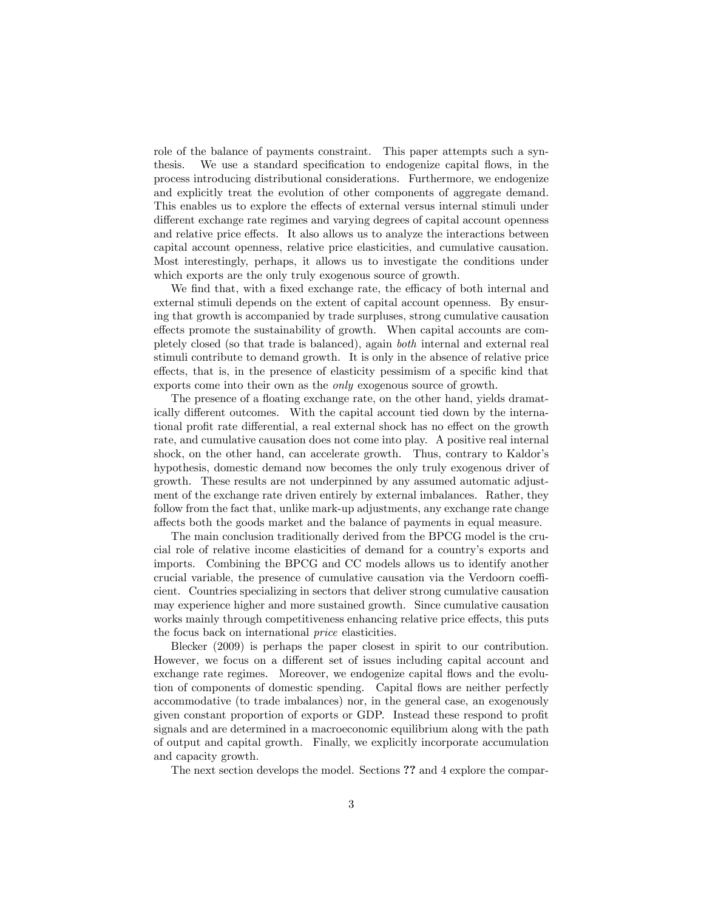role of the balance of payments constraint. This paper attempts such a synthesis. We use a standard specification to endogenize capital flows, in the process introducing distributional considerations. Furthermore, we endogenize and explicitly treat the evolution of other components of aggregate demand. This enables us to explore the effects of external versus internal stimuli under different exchange rate regimes and varying degrees of capital account openness and relative price effects. It also allows us to analyze the interactions between capital account openness, relative price elasticities, and cumulative causation. Most interestingly, perhaps, it allows us to investigate the conditions under which exports are the only truly exogenous source of growth.

We find that, with a fixed exchange rate, the efficacy of both internal and external stimuli depends on the extent of capital account openness. By ensuring that growth is accompanied by trade surpluses, strong cumulative causation effects promote the sustainability of growth. When capital accounts are completely closed (so that trade is balanced), again both internal and external real stimuli contribute to demand growth. It is only in the absence of relative price effects, that is, in the presence of elasticity pessimism of a specific kind that exports come into their own as the only exogenous source of growth.

The presence of a floating exchange rate, on the other hand, yields dramatically different outcomes. With the capital account tied down by the international profit rate differential, a real external shock has no effect on the growth rate, and cumulative causation does not come into play. A positive real internal shock, on the other hand, can accelerate growth. Thus, contrary to Kaldor's hypothesis, domestic demand now becomes the only truly exogenous driver of growth. These results are not underpinned by any assumed automatic adjustment of the exchange rate driven entirely by external imbalances. Rather, they follow from the fact that, unlike mark-up adjustments, any exchange rate change a§ects both the goods market and the balance of payments in equal measure.

The main conclusion traditionally derived from the BPCG model is the crucial role of relative income elasticities of demand for a countryís exports and imports. Combining the BPCG and CC models allows us to identify another crucial variable, the presence of cumulative causation via the Verdoorn coefficient. Countries specializing in sectors that deliver strong cumulative causation may experience higher and more sustained growth. Since cumulative causation works mainly through competitiveness enhancing relative price effects, this puts the focus back on international price elasticities.

Blecker (2009) is perhaps the paper closest in spirit to our contribution. However, we focus on a different set of issues including capital account and exchange rate regimes. Moreover, we endogenize capital flows and the evolution of components of domestic spending. Capital áows are neither perfectly accommodative (to trade imbalances) nor, in the general case, an exogenously given constant proportion of exports or GDP. Instead these respond to profit signals and are determined in a macroeconomic equilibrium along with the path of output and capital growth. Finally, we explicitly incorporate accumulation and capacity growth.

The next section develops the model. Sections ?? and 4 explore the compar-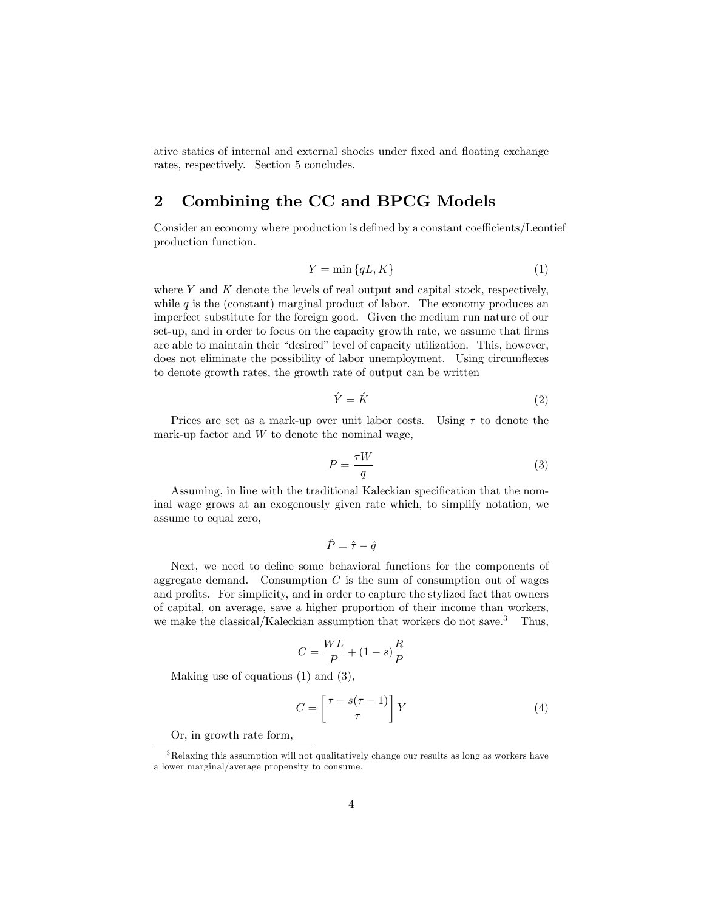ative statics of internal and external shocks under fixed and floating exchange rates, respectively. Section 5 concludes.

## 2 Combining the CC and BPCG Models

Consider an economy where production is defined by a constant coefficients/Leontief production function.

$$
Y = \min\{qL, K\} \tag{1}
$$

where  $Y$  and  $K$  denote the levels of real output and capital stock, respectively, while  $q$  is the (constant) marginal product of labor. The economy produces an imperfect substitute for the foreign good. Given the medium run nature of our set-up, and in order to focus on the capacity growth rate, we assume that firms are able to maintain their "desired" level of capacity utilization. This, however, does not eliminate the possibility of labor unemployment. Using circumflexes to denote growth rates, the growth rate of output can be written

$$
\hat{Y} = \hat{K} \tag{2}
$$

Prices are set as a mark-up over unit labor costs. Using  $\tau$  to denote the mark-up factor and  $W$  to denote the nominal wage,

$$
P = \frac{\tau W}{q} \tag{3}
$$

Assuming, in line with the traditional Kaleckian specification that the nominal wage grows at an exogenously given rate which, to simplify notation, we assume to equal zero,

$$
\hat{P} = \hat{\tau} - \hat{q}
$$

Next, we need to define some behavioral functions for the components of aggregate demand. Consumption  $C$  is the sum of consumption out of wages and profits. For simplicity, and in order to capture the stylized fact that owners of capital, on average, save a higher proportion of their income than workers, we make the classical/Kaleckian assumption that workers do not save.<sup>3</sup> Thus,

$$
C = \frac{WL}{P} + (1 - s)\frac{R}{P}
$$

Making use of equations  $(1)$  and  $(3)$ ,

$$
C = \left[\frac{\tau - s(\tau - 1)}{\tau}\right] Y \tag{4}
$$

Or, in growth rate form,

<sup>&</sup>lt;sup>3</sup>Relaxing this assumption will not qualitatively change our results as long as workers have a lower marginal/average propensity to consume.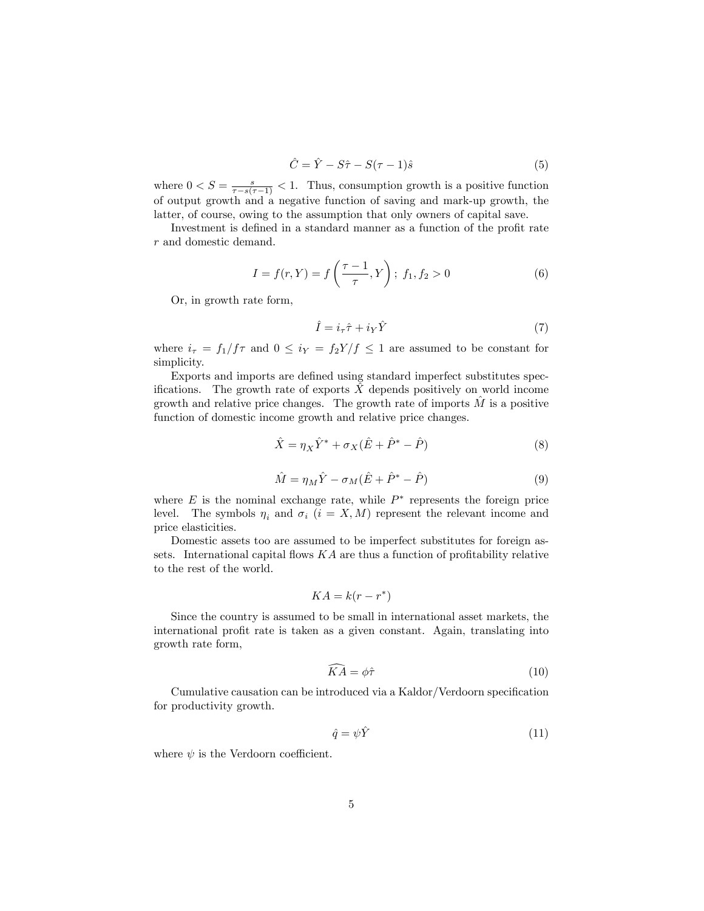$$
\hat{C} = \hat{Y} - S\hat{\tau} - S(\tau - 1)\hat{s} \tag{5}
$$

where  $0 < S = \frac{s}{\tau - s(\tau - 1)} < 1$ . Thus, consumption growth is a positive function of output growth and a negative function of saving and mark-up growth, the latter, of course, owing to the assumption that only owners of capital save.

Investment is defined in a standard manner as a function of the profit rate r and domestic demand.

$$
I = f(r, Y) = f\left(\frac{\tau - 1}{\tau}, Y\right); \ f_1, f_2 > 0 \tag{6}
$$

Or, in growth rate form,

$$
\hat{I} = i_{\tau}\hat{\tau} + i_{Y}\hat{Y}
$$
\n<sup>(7)</sup>

where  $i_{\tau} = f_1/f_{\tau}$  and  $0 \leq i_Y = f_2 Y/f \leq 1$  are assumed to be constant for simplicity.

Exports and imports are defined using standard imperfect substitutes specifications. The growth rate of exports  $\tilde{X}$  depends positively on world income growth and relative price changes. The growth rate of imports  $\tilde{M}$  is a positive function of domestic income growth and relative price changes.

$$
\hat{X} = \eta_X \hat{Y}^* + \sigma_X (\hat{E} + \hat{P}^* - \hat{P})
$$
\n(8)

$$
\hat{M} = \eta_M \hat{Y} - \sigma_M (\hat{E} + \hat{P}^* - \hat{P})
$$
\n(9)

where  $E$  is the nominal exchange rate, while  $P^*$  represents the foreign price level. The symbols  $\eta_i$  and  $\sigma_i$  (i = X, M) represent the relevant income and price elasticities.

Domestic assets too are assumed to be imperfect substitutes for foreign assets. International capital flows  $KA$  are thus a function of profitability relative to the rest of the world.

$$
KA = k(r - r^*)
$$

Since the country is assumed to be small in international asset markets, the international profit rate is taken as a given constant. Again, translating into growth rate form,

$$
\widetilde{K}\widetilde{A} = \phi\widehat{\tau} \tag{10}
$$

Cumulative causation can be introduced via a Kaldor/Verdoorn specification for productivity growth.

$$
\hat{q} = \psi \hat{Y} \tag{11}
$$

where  $\psi$  is the Verdoorn coefficient.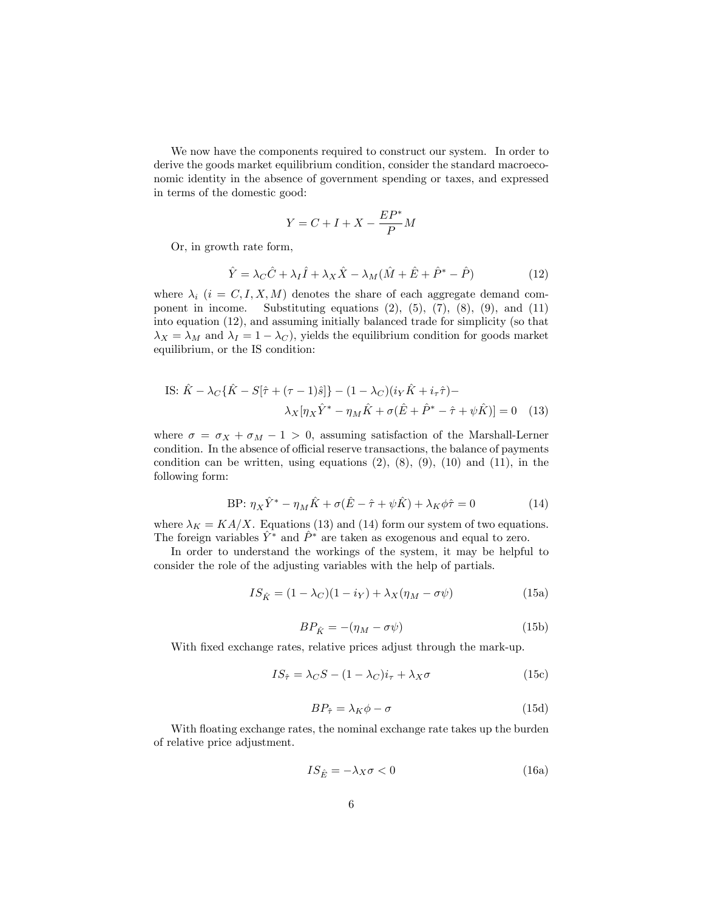We now have the components required to construct our system. In order to derive the goods market equilibrium condition, consider the standard macroeconomic identity in the absence of government spending or taxes, and expressed in terms of the domestic good:

$$
Y = C + I + X - \frac{EP^*}{P}M
$$

Or, in growth rate form,

$$
\hat{Y} = \lambda_C \hat{C} + \lambda_I \hat{I} + \lambda_X \hat{X} - \lambda_M (\hat{M} + \hat{E} + \hat{P}^* - \hat{P})
$$
\n(12)

where  $\lambda_i$  (i = C, I, X, M) denotes the share of each aggregate demand component in income. Substituting equations  $(2)$ ,  $(5)$ ,  $(7)$ ,  $(8)$ ,  $(9)$ , and  $(11)$ into equation (12), and assuming initially balanced trade for simplicity (so that  $\lambda_X = \lambda_M$  and  $\lambda_I = 1 - \lambda_C$ , yields the equilibrium condition for goods market equilibrium, or the IS condition:

IS: 
$$
\hat{K} - \lambda_C {\hat{K} - S[\hat{\tau} + (\tau - 1)\hat{s}]} - (1 - \lambda_C)(i_Y \hat{K} + i_\tau \hat{\tau}) -
$$
  

$$
\lambda_X [\eta_X \hat{Y}^* - \eta_M \hat{K} + \sigma(\hat{E} + \hat{P}^* - \hat{\tau} + \psi \hat{K})] = 0 \quad (13)
$$

where  $\sigma = \sigma_X + \sigma_M - 1 > 0$ , assuming satisfaction of the Marshall-Lerner condition. In the absence of official reserve transactions, the balance of payments condition can be written, using equations  $(2)$ ,  $(8)$ ,  $(9)$ ,  $(10)$  and  $(11)$ , in the following form:

$$
\text{BP: } \eta_X \hat{Y}^* - \eta_M \hat{K} + \sigma(\hat{E} - \hat{\tau} + \psi \hat{K}) + \lambda_K \phi \hat{\tau} = 0 \tag{14}
$$

where  $\lambda_K = K A/X$ . Equations (13) and (14) form our system of two equations. The foreign variables  $\hat{Y}^*$  and  $\hat{P}^*$  are taken as exogenous and equal to zero.

In order to understand the workings of the system, it may be helpful to consider the role of the adjusting variables with the help of partials.

$$
IS_{\hat{K}} = (1 - \lambda_C)(1 - i_Y) + \lambda_X(\eta_M - \sigma\psi)
$$
 (15a)

$$
BP_{\hat{K}} = -(\eta_M - \sigma \psi) \tag{15b}
$$

With fixed exchange rates, relative prices adjust through the mark-up.

$$
IS_{\hat{\tau}} = \lambda_C S - (1 - \lambda_C) i_{\tau} + \lambda_X \sigma \tag{15c}
$$

$$
BP_{\hat{\tau}} = \lambda_K \phi - \sigma \tag{15d}
$$

With floating exchange rates, the nominal exchange rate takes up the burden of relative price adjustment.

$$
IS_{\hat{E}} = -\lambda_X \sigma < 0 \tag{16a}
$$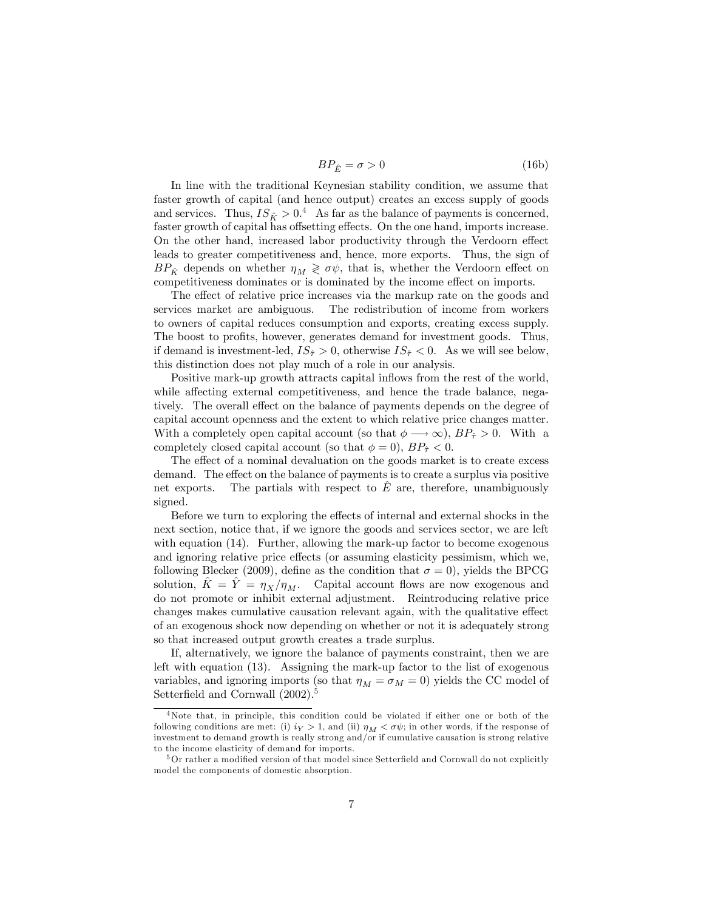$$
BP_{\hat{E}} = \sigma > 0 \tag{16b}
$$

In line with the traditional Keynesian stability condition, we assume that faster growth of capital (and hence output) creates an excess supply of goods and services. Thus,  $IS_{\hat{K}} > 0.4$  As far as the balance of payments is concerned, faster growth of capital has offsetting effects. On the one hand, imports increase. On the other hand, increased labor productivity through the Verdoorn effect leads to greater competitiveness and, hence, more exports. Thus, the sign of  $BP_{\hat{K}}$  depends on whether  $\eta_M \geq \sigma \psi$ , that is, whether the Verdoorn effect on competitiveness dominates or is dominated by the income effect on imports.

The effect of relative price increases via the markup rate on the goods and services market are ambiguous. The redistribution of income from workers to owners of capital reduces consumption and exports, creating excess supply. The boost to profits, however, generates demand for investment goods. Thus, if demand is investment-led,  $IS_{\hat{\tau}} > 0$ , otherwise  $IS_{\hat{\tau}} < 0$ . As we will see below, this distinction does not play much of a role in our analysis.

Positive mark-up growth attracts capital inflows from the rest of the world, while affecting external competitiveness, and hence the trade balance, negatively. The overall effect on the balance of payments depends on the degree of capital account openness and the extent to which relative price changes matter. With a completely open capital account (so that  $\phi \longrightarrow \infty$ ),  $BP_{\hat{r}} > 0$ . With a completely closed capital account (so that  $\phi = 0$ ),  $BP_{\hat{\tau}} < 0$ .

The effect of a nominal devaluation on the goods market is to create excess demand. The effect on the balance of payments is to create a surplus via positive net exports. The partials with respect to  $\hat{E}$  are, therefore, unambiguously signed.

Before we turn to exploring the effects of internal and external shocks in the next section, notice that, if we ignore the goods and services sector, we are left with equation (14). Further, allowing the mark-up factor to become exogenous and ignoring relative price effects (or assuming elasticity pessimism, which we, following Blecker (2009), define as the condition that  $\sigma = 0$ ), yields the BPCG solution,  $\tilde{K} = \tilde{Y} = \eta_X/\eta_M$ . Capital account flows are now exogenous and do not promote or inhibit external adjustment. Reintroducing relative price changes makes cumulative causation relevant again, with the qualitative effect of an exogenous shock now depending on whether or not it is adequately strong so that increased output growth creates a trade surplus.

If, alternatively, we ignore the balance of payments constraint, then we are left with equation (13). Assigning the mark-up factor to the list of exogenous variables, and ignoring imports (so that  $\eta_M = \sigma_M = 0$ ) yields the CC model of Setterfield and Cornwall  $(2002)$ .<sup>5</sup>

<sup>4</sup>Note that, in principle, this condition could be violated if either one or both of the following conditions are met: (i)  $i_Y > 1$ , and (ii)  $\eta_M < \sigma \psi$ ; in other words, if the response of investment to demand growth is really strong and/or if cumulative causation is strong relative to the income elasticity of demand for imports.

 $5$  Or rather a modified version of that model since Setterfield and Cornwall do not explicitly model the components of domestic absorption.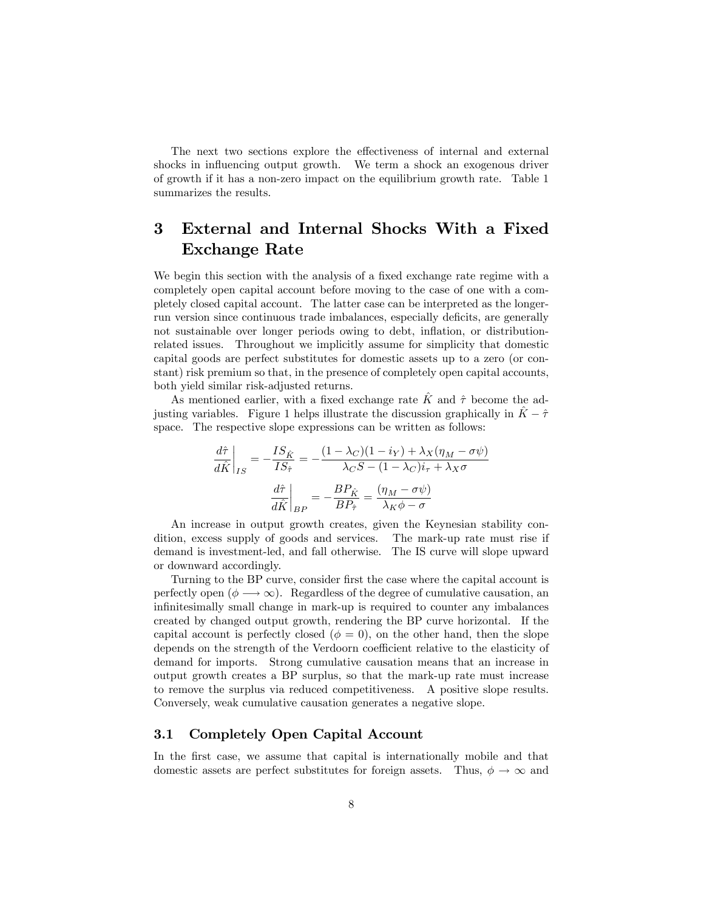The next two sections explore the effectiveness of internal and external shocks in influencing output growth. We term a shock an exogenous driver of growth if it has a non-zero impact on the equilibrium growth rate. Table 1 summarizes the results.

## 3 External and Internal Shocks With a Fixed Exchange Rate

We begin this section with the analysis of a fixed exchange rate regime with a completely open capital account before moving to the case of one with a completely closed capital account. The latter case can be interpreted as the longerrun version since continuous trade imbalances, especially deficits, are generally not sustainable over longer periods owing to debt, ináation, or distributionrelated issues. Throughout we implicitly assume for simplicity that domestic capital goods are perfect substitutes for domestic assets up to a zero (or constant) risk premium so that, in the presence of completely open capital accounts, both yield similar risk-adjusted returns.

As mentioned earlier, with a fixed exchange rate  $\hat{K}$  and  $\hat{\tau}$  become the adjusting variables. Figure 1 helps illustrate the discussion graphically in  $\tilde{K} - \hat{\tau}$ space. The respective slope expressions can be written as follows:

$$
\frac{d\hat{\tau}}{d\hat{K}}\bigg|_{IS} = -\frac{IS_{\hat{K}}}{IS_{\hat{\tau}}} = -\frac{(1-\lambda_C)(1-i_Y) + \lambda_X(\eta_M - \sigma\psi)}{\lambda_C S - (1-\lambda_C)i_\tau + \lambda_X\sigma}
$$

$$
\frac{d\hat{\tau}}{d\hat{K}}\bigg|_{BP} = -\frac{BP_{\hat{K}}}{BP_{\hat{\tau}}} = \frac{(\eta_M - \sigma\psi)}{\lambda_K\phi - \sigma}
$$

An increase in output growth creates, given the Keynesian stability condition, excess supply of goods and services. The mark-up rate must rise if demand is investment-led, and fall otherwise. The IS curve will slope upward or downward accordingly.

Turning to the BP curve, consider first the case where the capital account is perfectly open ( $\phi \longrightarrow \infty$ ). Regardless of the degree of cumulative causation, an infinitesimally small change in mark-up is required to counter any imbalances created by changed output growth, rendering the BP curve horizontal. If the capital account is perfectly closed  $(\phi = 0)$ , on the other hand, then the slope depends on the strength of the Verdoorn coefficient relative to the elasticity of demand for imports. Strong cumulative causation means that an increase in output growth creates a BP surplus, so that the mark-up rate must increase to remove the surplus via reduced competitiveness. A positive slope results. Conversely, weak cumulative causation generates a negative slope.

#### 3.1 Completely Open Capital Account

In the first case, we assume that capital is internationally mobile and that domestic assets are perfect substitutes for foreign assets. Thus,  $\phi \to \infty$  and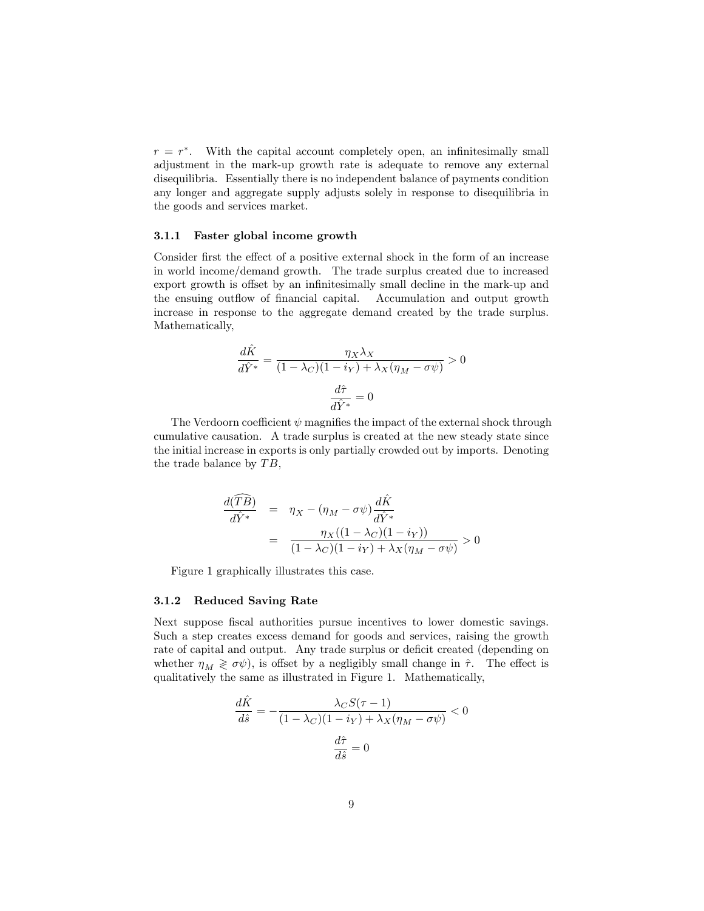$r = r^*$ . With the capital account completely open, an infinitesimally small adjustment in the mark-up growth rate is adequate to remove any external disequilibria. Essentially there is no independent balance of payments condition any longer and aggregate supply adjusts solely in response to disequilibria in the goods and services market.

#### 3.1.1 Faster global income growth

Consider first the effect of a positive external shock in the form of an increase in world income/demand growth. The trade surplus created due to increased export growth is offset by an infinitesimally small decline in the mark-up and the ensuing outflow of financial capital. Accumulation and output growth increase in response to the aggregate demand created by the trade surplus. Mathematically,

$$
\frac{d\hat{K}}{d\hat{Y}^*} = \frac{\eta_X \lambda_X}{(1 - \lambda_C)(1 - i_Y) + \lambda_X(\eta_M - \sigma\psi)} > 0
$$

$$
\frac{d\hat{\tau}}{d\hat{Y}^*} = 0
$$

The Verdoorn coefficient  $\psi$  magnifies the impact of the external shock through cumulative causation. A trade surplus is created at the new steady state since the initial increase in exports is only partially crowded out by imports. Denoting the trade balance by  $TB$ ,

$$
\frac{d(\widehat{TB})}{d\widehat{Y}^*} = \eta_X - (\eta_M - \sigma\psi)\frac{d\widehat{K}}{d\widehat{Y}^*}
$$

$$
= \frac{\eta_X((1 - \lambda_C)(1 - i_Y))}{(1 - \lambda_C)(1 - i_Y) + \lambda_X(\eta_M - \sigma\psi)} > 0
$$

Figure 1 graphically illustrates this case.

#### 3.1.2 Reduced Saving Rate

Next suppose fiscal authorities pursue incentives to lower domestic savings. Such a step creates excess demand for goods and services, raising the growth rate of capital and output. Any trade surplus or deficit created (depending on whether  $\eta_M \geq \sigma \psi$ , is offset by a negligibly small change in  $\hat{\tau}$ . The effect is qualitatively the same as illustrated in Figure 1. Mathematically,

$$
\frac{d\hat{K}}{d\hat{s}} = -\frac{\lambda_C S(\tau - 1)}{(1 - \lambda_C)(1 - i_Y) + \lambda_X(\eta_M - \sigma\psi)} < 0
$$
\n
$$
\frac{d\hat{\tau}}{d\hat{s}} = 0
$$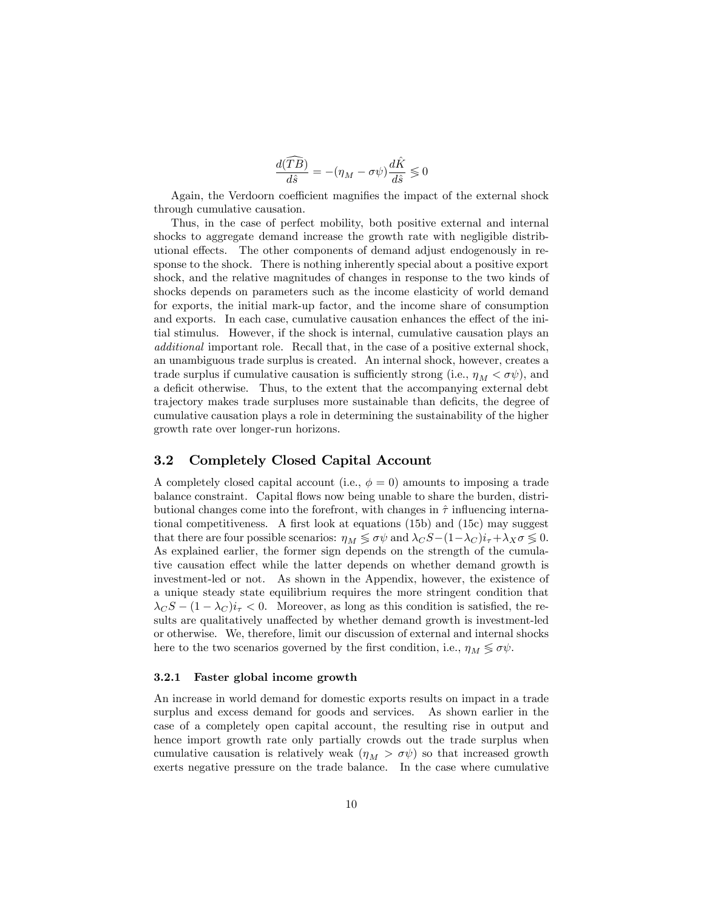$$
\frac{d(\widehat{TB})}{d\widehat{s}} = -(\eta_M - \sigma\psi)\frac{d\widehat{K}}{d\widehat{s}} \lessgtr 0
$$

Again, the Verdoorn coefficient magnifies the impact of the external shock through cumulative causation.

Thus, in the case of perfect mobility, both positive external and internal shocks to aggregate demand increase the growth rate with negligible distributional effects. The other components of demand adjust endogenously in response to the shock. There is nothing inherently special about a positive export shock, and the relative magnitudes of changes in response to the two kinds of shocks depends on parameters such as the income elasticity of world demand for exports, the initial mark-up factor, and the income share of consumption and exports. In each case, cumulative causation enhances the effect of the initial stimulus. However, if the shock is internal, cumulative causation plays an additional important role. Recall that, in the case of a positive external shock, an unambiguous trade surplus is created. An internal shock, however, creates a trade surplus if cumulative causation is sufficiently strong (i.e.,  $\eta_M < \sigma \psi$ ), and a deficit otherwise. Thus, to the extent that the accompanying external debt trajectory makes trade surpluses more sustainable than deficits, the degree of cumulative causation plays a role in determining the sustainability of the higher growth rate over longer-run horizons.

#### 3.2 Completely Closed Capital Account

A completely closed capital account (i.e.,  $\phi = 0$ ) amounts to imposing a trade balance constraint. Capital áows now being unable to share the burden, distributional changes come into the forefront, with changes in  $\hat{\tau}$  influencing international competitiveness. A first look at equations  $(15b)$  and  $(15c)$  may suggest that there are four possible scenarios:  $\eta_M \lessgtr \sigma \psi$  and  $\lambda_C S - (1-\lambda_C)i_\tau + \lambda_X \sigma \lessgtr 0$ . As explained earlier, the former sign depends on the strength of the cumulative causation effect while the latter depends on whether demand growth is investment-led or not. As shown in the Appendix, however, the existence of a unique steady state equilibrium requires the more stringent condition that  $\lambda_C S - (1 - \lambda_C)i_\tau < 0$ . Moreover, as long as this condition is satisfied, the results are qualitatively unaffected by whether demand growth is investment-led or otherwise. We, therefore, limit our discussion of external and internal shocks here to the two scenarios governed by the first condition, i.e.,  $\eta_M \lessgtr \sigma \psi$ .

#### 3.2.1 Faster global income growth

An increase in world demand for domestic exports results on impact in a trade surplus and excess demand for goods and services. As shown earlier in the case of a completely open capital account, the resulting rise in output and hence import growth rate only partially crowds out the trade surplus when cumulative causation is relatively weak  $(\eta_M > \sigma \psi)$  so that increased growth exerts negative pressure on the trade balance. In the case where cumulative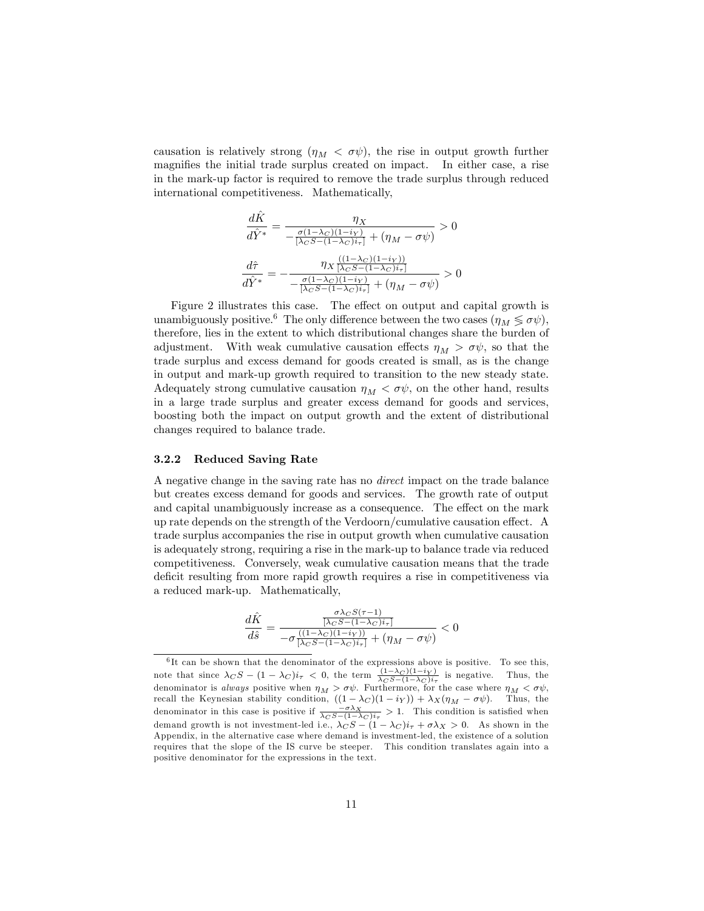causation is relatively strong  $(\eta_M < \sigma \psi)$ , the rise in output growth further magnifies the initial trade surplus created on impact. In either case, a rise in the mark-up factor is required to remove the trade surplus through reduced international competitiveness. Mathematically,

$$
\frac{d\hat{K}}{d\hat{Y}^*} = \frac{\eta_X}{-\frac{\sigma(1-\lambda_C)(1-i_Y)}{[\lambda_C S - (1-\lambda_C)i_\tau]} + (\eta_M - \sigma\psi)} > 0
$$

$$
\frac{d\hat{\tau}}{d\hat{Y}^*} = -\frac{\eta_X \frac{((1-\lambda_C)(1-i_Y))}{[\lambda_C S - (1-\lambda_C)i_\tau]}}{-\frac{\sigma(1-\lambda_C)(1-i_Y)}{[\lambda_C S - (1-\lambda_C)i_\tau]} + (\eta_M - \sigma\psi)} > 0
$$

Figure 2 illustrates this case. The effect on output and capital growth is unambiguously positive.<sup>6</sup> The only difference between the two cases  $(\eta_M \leq \sigma \psi)$ , therefore, lies in the extent to which distributional changes share the burden of adjustment. With weak cumulative causation effects  $\eta_M > \sigma \psi$ , so that the trade surplus and excess demand for goods created is small, as is the change in output and mark-up growth required to transition to the new steady state. Adequately strong cumulative causation  $\eta_M < \sigma \psi$ , on the other hand, results in a large trade surplus and greater excess demand for goods and services, boosting both the impact on output growth and the extent of distributional changes required to balance trade.

#### 3.2.2 Reduced Saving Rate

A negative change in the saving rate has no direct impact on the trade balance but creates excess demand for goods and services. The growth rate of output and capital unambiguously increase as a consequence. The effect on the mark up rate depends on the strength of the Verdoorn/cumulative causation effect. A trade surplus accompanies the rise in output growth when cumulative causation is adequately strong, requiring a rise in the mark-up to balance trade via reduced competitiveness. Conversely, weak cumulative causation means that the trade deficit resulting from more rapid growth requires a rise in competitiveness via a reduced mark-up. Mathematically,

$$
\frac{d\hat{K}}{d\hat{s}} = \frac{\frac{\sigma\lambda_C S(\tau - 1)}{[\lambda_C S - (1 - \lambda_C)i_\tau]}}{-\sigma \frac{((1 - \lambda_C)(1 - i_Y))}{[\lambda_C S - (1 - \lambda_C)i_\tau]} + (\eta_M - \sigma\psi)} < 0
$$

<sup>&</sup>lt;sup>6</sup>It can be shown that the denominator of the expressions above is positive. To see this, note that since  $\lambda_C S - (1 - \lambda_C) i_\tau < 0$ , the term  $\frac{(1-\lambda_C)(1-i_Y)}{\lambda_C S - (1-\lambda_C)i_\tau}$  is negative. Thus, the denominator is always positive when  $\eta_M > \sigma \psi$ . Furthermore, for the case where  $\eta_M < \sigma \psi$ ,<br>denominator is always positive when  $\eta_M > \sigma \psi$ . Furthermore, for the case where  $\eta_M < \sigma \psi$ , recall the Keynesian stability condition,  $((1 - \lambda_C)(1 - i_Y)) + \lambda_X(\eta_M - \sigma\psi)$ . Thus, the denominator in this case is positive if  $\frac{-\sigma \lambda_X}{\lambda_C S - (1 - \lambda_C)i_{\tau}} > 1$ . This condition is satisfied when demand growth is not investment-led i.e.,  $\lambda_C S - (1 - \lambda_C)i_{\tau} + \sigma \lambda_X > 0$ . As shown in the Appendix, in the alternative case where demand is investment-led, the existence of a solution requires that the slope of the IS curve be steeper. This condition translates again into a positive denominator for the expressions in the text.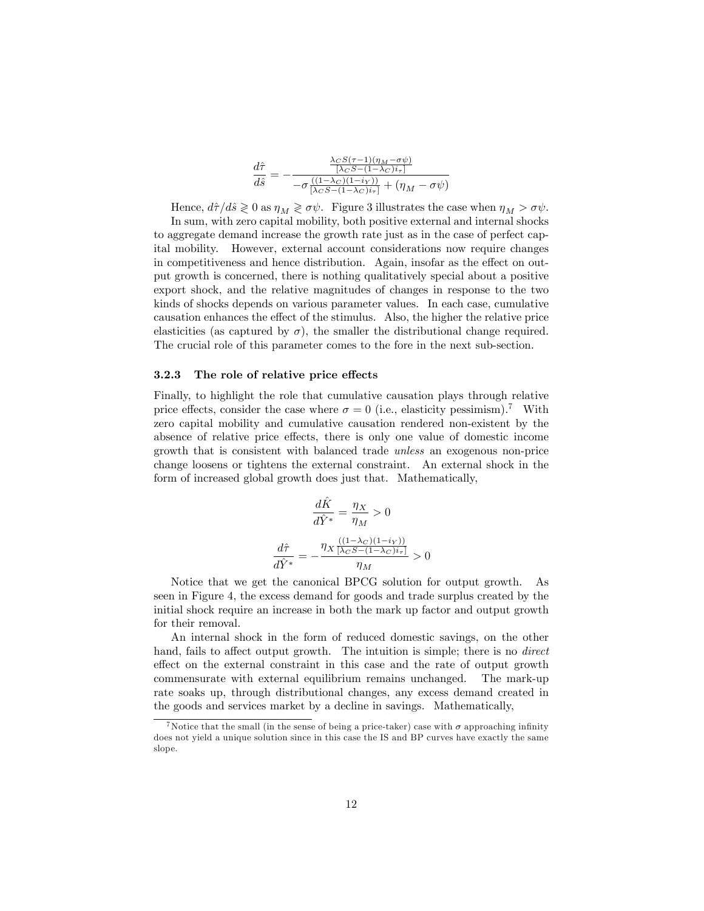$$
\frac{d\hat{\tau}}{d\hat{s}} = -\frac{\frac{\lambda_C S(\tau - 1)(\eta_M - \sigma\psi)}{[\lambda_C S - (1 - \lambda_C)i_\tau]}}{-\sigma \frac{((1 - \lambda_C)(1 - i_Y))}{[\lambda_C S - (1 - \lambda_C)i_\tau]} + (\eta_M - \sigma\psi)}
$$

Hence,  $d\hat{\tau}/d\hat{s} \geq 0$  as  $\eta_M \geq \sigma \psi$ . Figure 3 illustrates the case when  $\eta_M > \sigma \psi$ . In sum, with zero capital mobility, both positive external and internal shocks to aggregate demand increase the growth rate just as in the case of perfect capital mobility. However, external account considerations now require changes in competitiveness and hence distribution. Again, insofar as the effect on output growth is concerned, there is nothing qualitatively special about a positive export shock, and the relative magnitudes of changes in response to the two kinds of shocks depends on various parameter values. In each case, cumulative causation enhances the effect of the stimulus. Also, the higher the relative price elasticities (as captured by  $\sigma$ ), the smaller the distributional change required. The crucial role of this parameter comes to the fore in the next sub-section.

#### 3.2.3 The role of relative price effects

Finally, to highlight the role that cumulative causation plays through relative price effects, consider the case where  $\sigma = 0$  (i.e., elasticity pessimism).<sup>7</sup> With zero capital mobility and cumulative causation rendered non-existent by the absence of relative price effects, there is only one value of domestic income growth that is consistent with balanced trade unless an exogenous non-price change loosens or tightens the external constraint. An external shock in the form of increased global growth does just that. Mathematically,

$$
\frac{d\hat{K}}{d\hat{Y}^*} = \frac{\eta_X}{\eta_M} > 0
$$

$$
\frac{d\hat{\tau}}{d\hat{Y}^*} = -\frac{\eta_X \frac{((1-\lambda_C)(1-i_Y))}{[\lambda_C S - (1-\lambda_C)i_\tau]}}{\eta_M} > 0
$$

Notice that we get the canonical BPCG solution for output growth. As seen in Figure 4, the excess demand for goods and trade surplus created by the initial shock require an increase in both the mark up factor and output growth for their removal.

An internal shock in the form of reduced domestic savings, on the other hand, fails to affect output growth. The intuition is simple; there is no *direct* effect on the external constraint in this case and the rate of output growth commensurate with external equilibrium remains unchanged. The mark-up rate soaks up, through distributional changes, any excess demand created in the goods and services market by a decline in savings. Mathematically,

<sup>&</sup>lt;sup>7</sup>Notice that the small (in the sense of being a price-taker) case with  $\sigma$  approaching infinity does not yield a unique solution since in this case the IS and BP curves have exactly the same slope.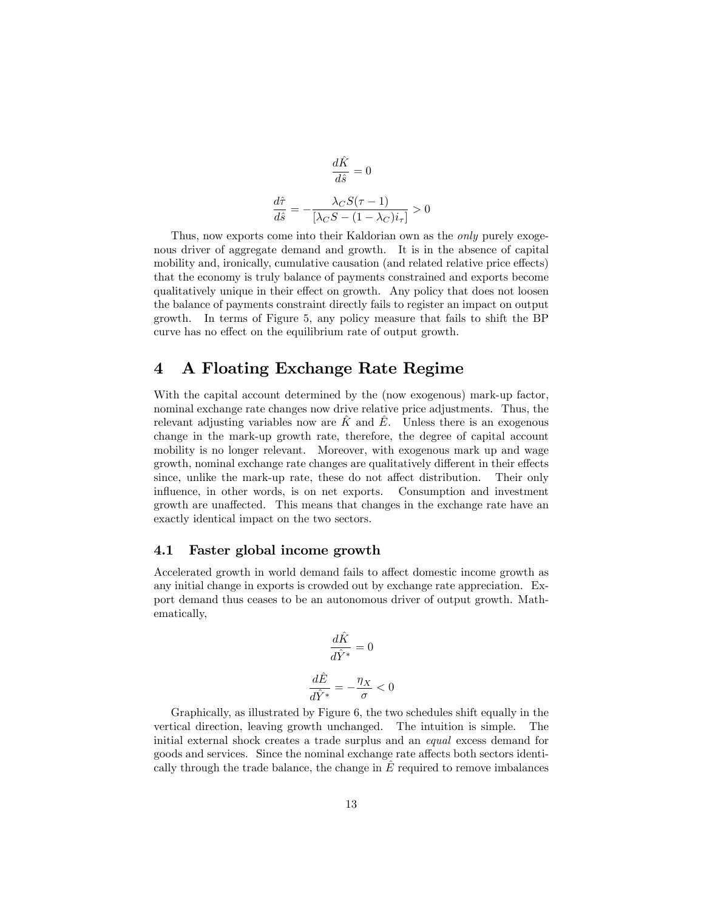$$
\frac{d\hat{K}}{d\hat{s}} = 0
$$

$$
\frac{d\hat{\tau}}{d\hat{s}} = -\frac{\lambda_C S(\tau - 1)}{[\lambda_C S - (1 - \lambda_C)i_{\tau}]} > 0
$$

Thus, now exports come into their Kaldorian own as the only purely exogenous driver of aggregate demand and growth. It is in the absence of capital mobility and, ironically, cumulative causation (and related relative price effects) that the economy is truly balance of payments constrained and exports become qualitatively unique in their effect on growth. Any policy that does not loosen the balance of payments constraint directly fails to register an impact on output growth. In terms of Figure 5, any policy measure that fails to shift the BP curve has no effect on the equilibrium rate of output growth.

### 4 A Floating Exchange Rate Regime

With the capital account determined by the (now exogenous) mark-up factor, nominal exchange rate changes now drive relative price adjustments. Thus, the relevant adjusting variables now are  $\hat{K}$  and  $\hat{E}$ . Unless there is an exogenous change in the mark-up growth rate, therefore, the degree of capital account mobility is no longer relevant. Moreover, with exogenous mark up and wage growth, nominal exchange rate changes are qualitatively different in their effects since, unlike the mark-up rate, these do not affect distribution. Their only influence, in other words, is on net exports. Consumption and investment growth are unaffected. This means that changes in the exchange rate have an exactly identical impact on the two sectors.

#### 4.1 Faster global income growth

Accelerated growth in world demand fails to affect domestic income growth as any initial change in exports is crowded out by exchange rate appreciation. Export demand thus ceases to be an autonomous driver of output growth. Mathematically,

$$
\frac{d\hat{K}}{d\hat{Y}^*} = 0
$$

$$
\frac{d\hat{E}}{d\hat{Y}^*} = -\frac{\eta_X}{\sigma} < 0
$$

Graphically, as illustrated by Figure 6, the two schedules shift equally in the vertical direction, leaving growth unchanged. The intuition is simple. The initial external shock creates a trade surplus and an equal excess demand for goods and services. Since the nominal exchange rate affects both sectors identically through the trade balance, the change in  $E$  required to remove imbalances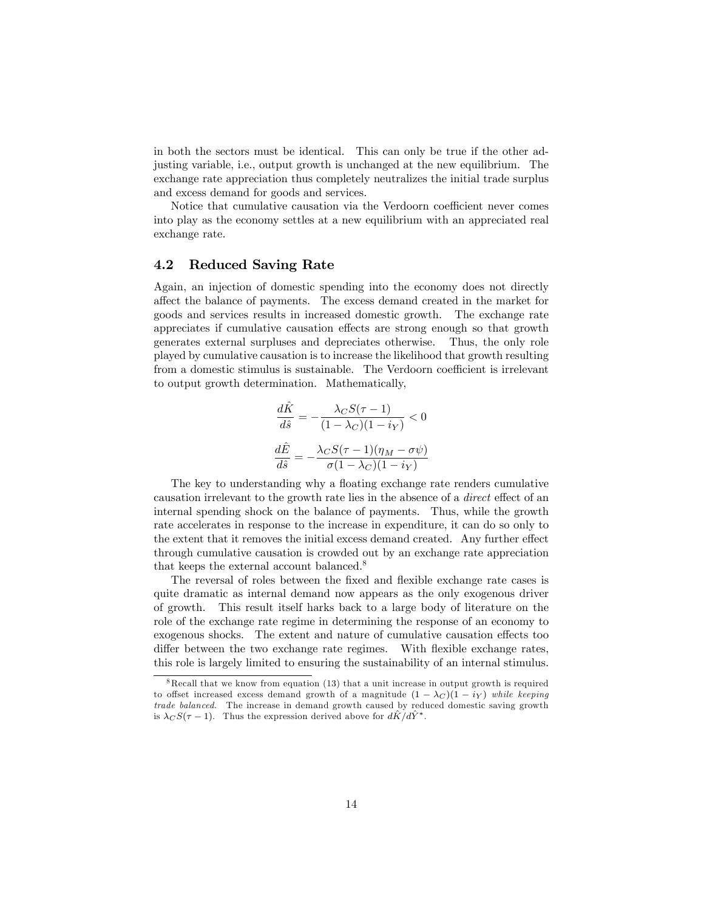in both the sectors must be identical. This can only be true if the other adjusting variable, i.e., output growth is unchanged at the new equilibrium. The exchange rate appreciation thus completely neutralizes the initial trade surplus and excess demand for goods and services.

Notice that cumulative causation via the Verdoorn coefficient never comes into play as the economy settles at a new equilibrium with an appreciated real exchange rate.

#### 4.2 Reduced Saving Rate

Again, an injection of domestic spending into the economy does not directly a§ect the balance of payments. The excess demand created in the market for goods and services results in increased domestic growth. The exchange rate appreciates if cumulative causation effects are strong enough so that growth generates external surpluses and depreciates otherwise. Thus, the only role played by cumulative causation is to increase the likelihood that growth resulting from a domestic stimulus is sustainable. The Verdoorn coefficient is irrelevant to output growth determination. Mathematically,

$$
\begin{aligned} \frac{d\hat{K}}{d\hat{s}} &= -\frac{\lambda_C S(\tau-1)}{(1-\lambda_C)(1-i_Y)} < 0\\ \frac{d\hat{E}}{d\hat{s}} &= -\frac{\lambda_C S(\tau-1)(\eta_M-\sigma\psi)}{\sigma(1-\lambda_C)(1-i_Y)} \end{aligned}
$$

The key to understanding why a floating exchange rate renders cumulative causation irrelevant to the growth rate lies in the absence of a *direct* effect of an internal spending shock on the balance of payments. Thus, while the growth rate accelerates in response to the increase in expenditure, it can do so only to the extent that it removes the initial excess demand created. Any further effect through cumulative causation is crowded out by an exchange rate appreciation that keeps the external account balanced.<sup>8</sup>

The reversal of roles between the fixed and flexible exchange rate cases is quite dramatic as internal demand now appears as the only exogenous driver of growth. This result itself harks back to a large body of literature on the role of the exchange rate regime in determining the response of an economy to exogenous shocks. The extent and nature of cumulative causation effects too differ between the two exchange rate regimes. With flexible exchange rates, this role is largely limited to ensuring the sustainability of an internal stimulus.

 $8$ Recall that we know from equation (13) that a unit increase in output growth is required to offset increased excess demand growth of a magnitude  $(1 - \lambda_C)(1 - i_Y)$  while keeping trade balanced. The increase in demand growth caused by reduced domestic saving growth is  $\lambda_C S(\tau - 1)$ . Thus the expression derived above for  $d\hat{K}/d\hat{Y}^*$ .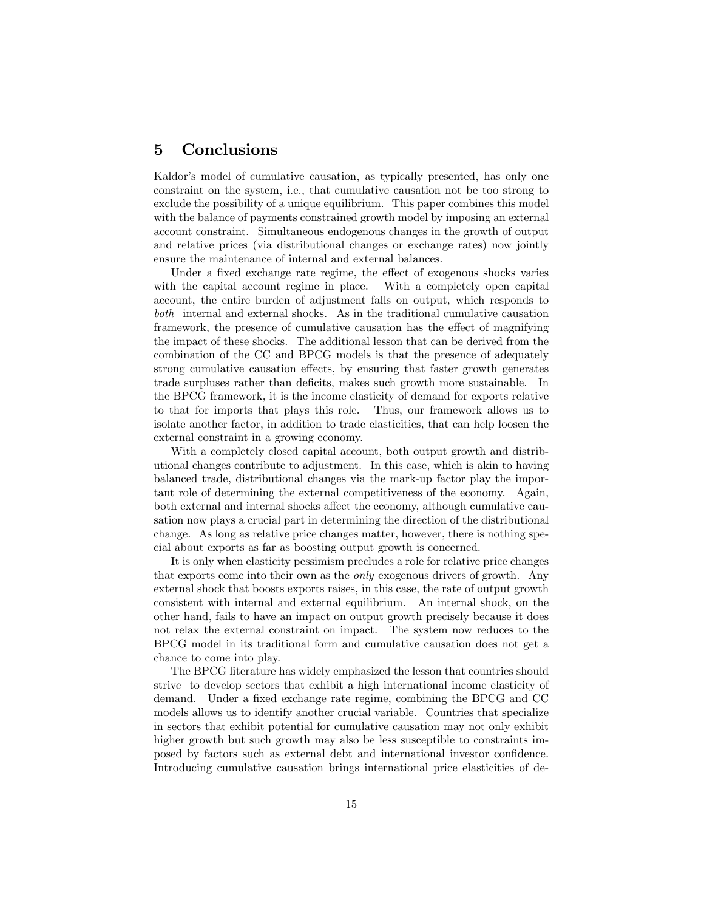## 5 Conclusions

Kaldor's model of cumulative causation, as typically presented, has only one constraint on the system, i.e., that cumulative causation not be too strong to exclude the possibility of a unique equilibrium. This paper combines this model with the balance of payments constrained growth model by imposing an external account constraint. Simultaneous endogenous changes in the growth of output and relative prices (via distributional changes or exchange rates) now jointly ensure the maintenance of internal and external balances.

Under a fixed exchange rate regime, the effect of exogenous shocks varies with the capital account regime in place. With a completely open capital account, the entire burden of adjustment falls on output, which responds to both internal and external shocks. As in the traditional cumulative causation framework, the presence of cumulative causation has the effect of magnifying the impact of these shocks. The additional lesson that can be derived from the combination of the CC and BPCG models is that the presence of adequately strong cumulative causation effects, by ensuring that faster growth generates trade surpluses rather than deficits, makes such growth more sustainable. In the BPCG framework, it is the income elasticity of demand for exports relative to that for imports that plays this role. Thus, our framework allows us to isolate another factor, in addition to trade elasticities, that can help loosen the external constraint in a growing economy.

With a completely closed capital account, both output growth and distributional changes contribute to adjustment. In this case, which is akin to having balanced trade, distributional changes via the mark-up factor play the important role of determining the external competitiveness of the economy. Again, both external and internal shocks affect the economy, although cumulative causation now plays a crucial part in determining the direction of the distributional change. As long as relative price changes matter, however, there is nothing special about exports as far as boosting output growth is concerned.

It is only when elasticity pessimism precludes a role for relative price changes that exports come into their own as the only exogenous drivers of growth. Any external shock that boosts exports raises, in this case, the rate of output growth consistent with internal and external equilibrium. An internal shock, on the other hand, fails to have an impact on output growth precisely because it does not relax the external constraint on impact. The system now reduces to the BPCG model in its traditional form and cumulative causation does not get a chance to come into play.

The BPCG literature has widely emphasized the lesson that countries should strive to develop sectors that exhibit a high international income elasticity of demand. Under a fixed exchange rate regime, combining the BPCG and CC models allows us to identify another crucial variable. Countries that specialize in sectors that exhibit potential for cumulative causation may not only exhibit higher growth but such growth may also be less susceptible to constraints imposed by factors such as external debt and international investor confidence. Introducing cumulative causation brings international price elasticities of de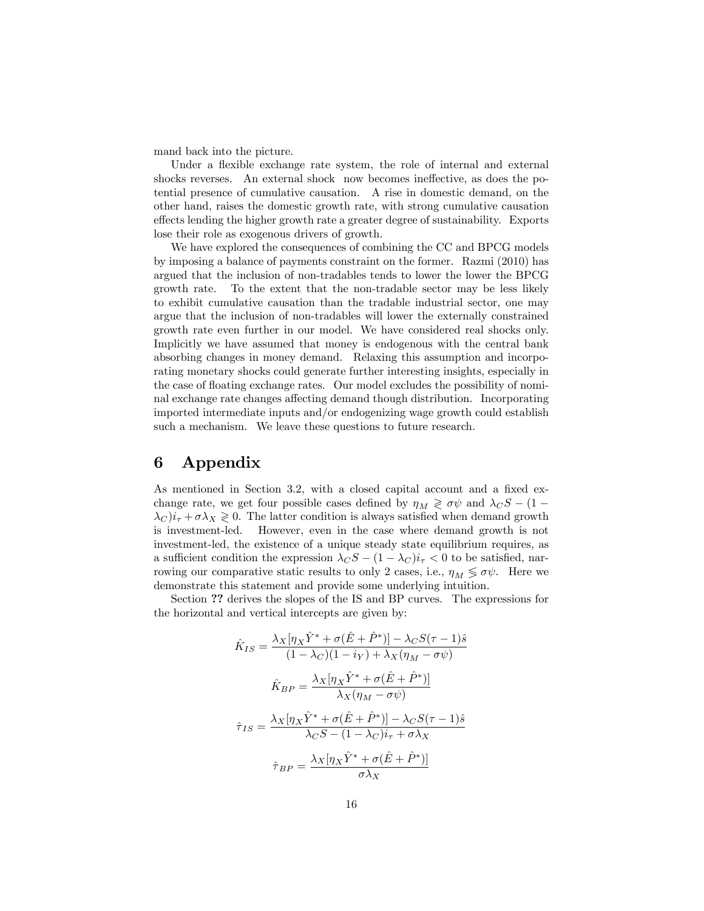mand back into the picture.

Under a flexible exchange rate system, the role of internal and external shocks reverses. An external shock now becomes ineffective, as does the potential presence of cumulative causation. A rise in domestic demand, on the other hand, raises the domestic growth rate, with strong cumulative causation effects lending the higher growth rate a greater degree of sustainability. Exports lose their role as exogenous drivers of growth.

We have explored the consequences of combining the CC and BPCG models by imposing a balance of payments constraint on the former. Razmi (2010) has argued that the inclusion of non-tradables tends to lower the lower the BPCG growth rate. To the extent that the non-tradable sector may be less likely to exhibit cumulative causation than the tradable industrial sector, one may argue that the inclusion of non-tradables will lower the externally constrained growth rate even further in our model. We have considered real shocks only. Implicitly we have assumed that money is endogenous with the central bank absorbing changes in money demand. Relaxing this assumption and incorporating monetary shocks could generate further interesting insights, especially in the case of floating exchange rates. Our model excludes the possibility of nominal exchange rate changes affecting demand though distribution. Incorporating imported intermediate inputs and/or endogenizing wage growth could establish such a mechanism. We leave these questions to future research.

### 6 Appendix

As mentioned in Section 3.2, with a closed capital account and a fixed exchange rate, we get four possible cases defined by  $\eta_M \geq \sigma \psi$  and  $\lambda_C S - (1 \lambda_C$ ) $i_{\tau} + \sigma \lambda_X \geq 0$ . The latter condition is always satisfied when demand growth is investment-led. However, even in the case where demand growth is not investment-led, the existence of a unique steady state equilibrium requires, as a sufficient condition the expression  $\lambda_C S - (1 - \lambda_C)i_{\tau} < 0$  to be satisfied, narrowing our comparative static results to only 2 cases, i.e.,  $\eta_M \leq \sigma \psi$ . Here we demonstrate this statement and provide some underlying intuition.

Section ?? derives the slopes of the IS and BP curves. The expressions for the horizontal and vertical intercepts are given by:

$$
\hat{K}_{IS} = \frac{\lambda_X [\eta_X \hat{Y}^* + \sigma(\hat{E} + \hat{P}^*)] - \lambda_C S(\tau - 1)\hat{s}}{(1 - \lambda_C)(1 - i_Y) + \lambda_X (\eta_M - \sigma \psi)}
$$
\n
$$
\hat{K}_{BP} = \frac{\lambda_X [\eta_X \hat{Y}^* + \sigma(\hat{E} + \hat{P}^*)]}{\lambda_X (\eta_M - \sigma \psi)}
$$
\n
$$
\hat{\tau}_{IS} = \frac{\lambda_X [\eta_X \hat{Y}^* + \sigma(\hat{E} + \hat{P}^*)] - \lambda_C S(\tau - 1)\hat{s}}{\lambda_C S - (1 - \lambda_C) i_\tau + \sigma \lambda_X}
$$
\n
$$
\hat{\tau}_{BP} = \frac{\lambda_X [\eta_X \hat{Y}^* + \sigma(\hat{E} + \hat{P}^*)]}{\sigma \lambda_X}
$$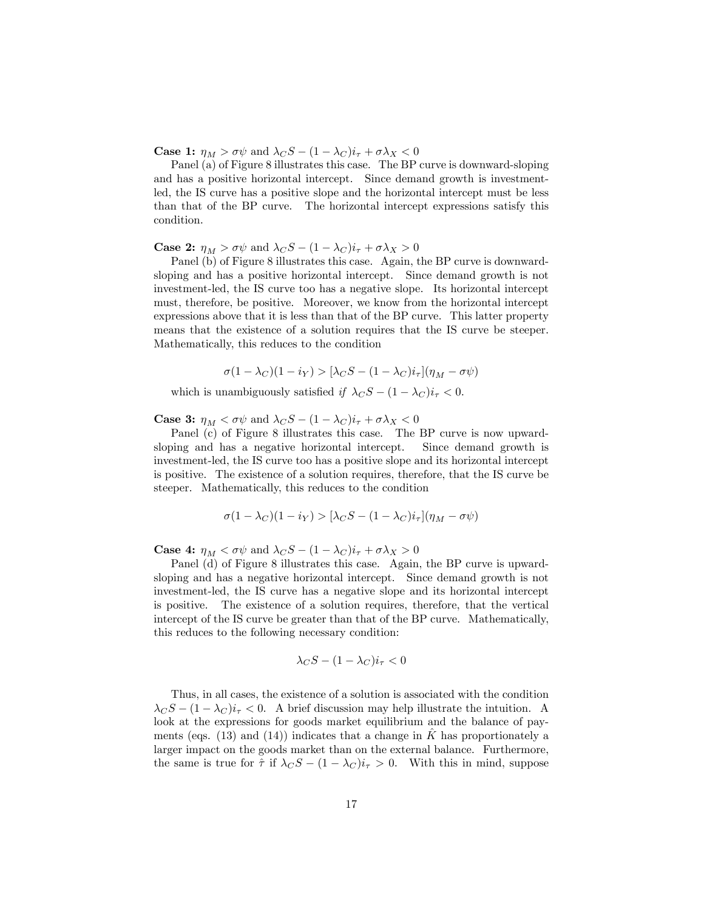**Case 1:**  $\eta_M > \sigma \psi$  and  $\lambda_C S - (1 - \lambda_C)i_\tau + \sigma \lambda_X < 0$ 

Panel (a) of Figure 8 illustrates this case. The BP curve is downward-sloping and has a positive horizontal intercept. Since demand growth is investmentled, the IS curve has a positive slope and the horizontal intercept must be less than that of the BP curve. The horizontal intercept expressions satisfy this condition.

**Case 2:**  $\eta_M > \sigma \psi$  and  $\lambda_C S - (1 - \lambda_C)i_\tau + \sigma \lambda_X > 0$ 

Panel (b) of Figure 8 illustrates this case. Again, the BP curve is downwardsloping and has a positive horizontal intercept. Since demand growth is not investment-led, the IS curve too has a negative slope. Its horizontal intercept must, therefore, be positive. Moreover, we know from the horizontal intercept expressions above that it is less than that of the BP curve. This latter property means that the existence of a solution requires that the IS curve be steeper. Mathematically, this reduces to the condition

$$
\sigma(1 - \lambda_C)(1 - i_Y) > \left[\lambda_C S - (1 - \lambda_C) i_\tau\right] (\eta_M - \sigma \psi)
$$

which is unambiguously satisfied if  $\lambda_C S - (1 - \lambda_C)i_\tau < 0$ .

**Case 3:**  $\eta_M < \sigma \psi$  and  $\lambda_C S - (1 - \lambda_C)i_{\tau} + \sigma \lambda_X < 0$ 

Panel (c) of Figure 8 illustrates this case. The BP curve is now upwardsloping and has a negative horizontal intercept. Since demand growth is investment-led, the IS curve too has a positive slope and its horizontal intercept is positive. The existence of a solution requires, therefore, that the IS curve be steeper. Mathematically, this reduces to the condition

$$
\sigma(1 - \lambda_C)(1 - i_Y) > [\lambda_C S - (1 - \lambda_C)i_\tau](\eta_M - \sigma \psi)
$$

**Case 4:**  $\eta_M < \sigma \psi$  and  $\lambda_C S - (1 - \lambda_C)i_{\tau} + \sigma \lambda_X > 0$ 

Panel (d) of Figure 8 illustrates this case. Again, the BP curve is upwardsloping and has a negative horizontal intercept. Since demand growth is not investment-led, the IS curve has a negative slope and its horizontal intercept is positive. The existence of a solution requires, therefore, that the vertical intercept of the IS curve be greater than that of the BP curve. Mathematically, this reduces to the following necessary condition:

$$
\lambda_C S - (1 - \lambda_C) i_\tau < 0
$$

Thus, in all cases, the existence of a solution is associated with the condition  $\lambda_C S - (1 - \lambda_C)i_\tau < 0$ . A brief discussion may help illustrate the intuition. A look at the expressions for goods market equilibrium and the balance of payments (eqs. (13) and (14)) indicates that a change in  $\hat{K}$  has proportionately a larger impact on the goods market than on the external balance. Furthermore, the same is true for  $\hat{\tau}$  if  $\lambda_C S - (1 - \lambda_C)i_{\tau} > 0$ . With this in mind, suppose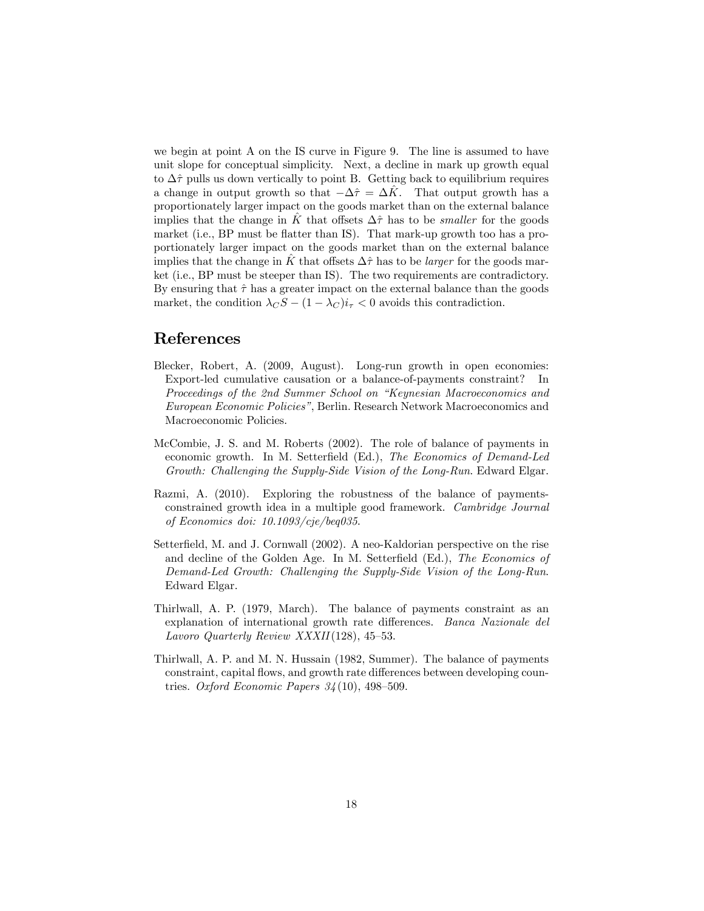we begin at point A on the IS curve in Figure 9. The line is assumed to have unit slope for conceptual simplicity. Next, a decline in mark up growth equal to  $\Delta \hat{\tau}$  pulls us down vertically to point B. Getting back to equilibrium requires a change in output growth so that  $-\Delta \hat{\tau} = \Delta K$ . That output growth has a proportionately larger impact on the goods market than on the external balance implies that the change in  $\hat{K}$  that offsets  $\Delta \hat{\tau}$  has to be *smaller* for the goods market (i.e., BP must be flatter than IS). That mark-up growth too has a proportionately larger impact on the goods market than on the external balance implies that the change in  $\hat{K}$  that offsets  $\Delta \hat{\tau}$  has to be *larger* for the goods market (i.e., BP must be steeper than IS). The two requirements are contradictory. By ensuring that  $\hat{\tau}$  has a greater impact on the external balance than the goods market, the condition  $\lambda_C S - (1 - \lambda_C)i_{\tau} < 0$  avoids this contradiction.

### References

- Blecker, Robert, A. (2009, August). Long-run growth in open economies: Export-led cumulative causation or a balance-of-payments constraint? Proceedings of the 2nd Summer School on "Keynesian Macroeconomics and European Economic Policiesî, Berlin. Research Network Macroeconomics and Macroeconomic Policies.
- McCombie, J. S. and M. Roberts (2002). The role of balance of payments in economic growth. In M. Setterfield (Ed.), The Economics of Demand-Led Growth: Challenging the Supply-Side Vision of the Long-Run. Edward Elgar.
- Razmi, A. (2010). Exploring the robustness of the balance of paymentsconstrained growth idea in a multiple good framework. Cambridge Journal of Economics doi: 10.1093/cje/beq035.
- Setterfield, M. and J. Cornwall (2002). A neo-Kaldorian perspective on the rise and decline of the Golden Age. In M. Setterfield (Ed.), The Economics of Demand-Led Growth: Challenging the Supply-Side Vision of the Long-Run. Edward Elgar.
- Thirlwall, A. P. (1979, March). The balance of payments constraint as an explanation of international growth rate differences. Banca Nazionale del Lavoro Quarterly Review  $XXXII(128)$ , 45–53.
- Thirlwall, A. P. and M. N. Hussain (1982, Summer). The balance of payments constraint, capital flows, and growth rate differences between developing countries. Oxford Economic Papers  $34(10)$ , 498-509.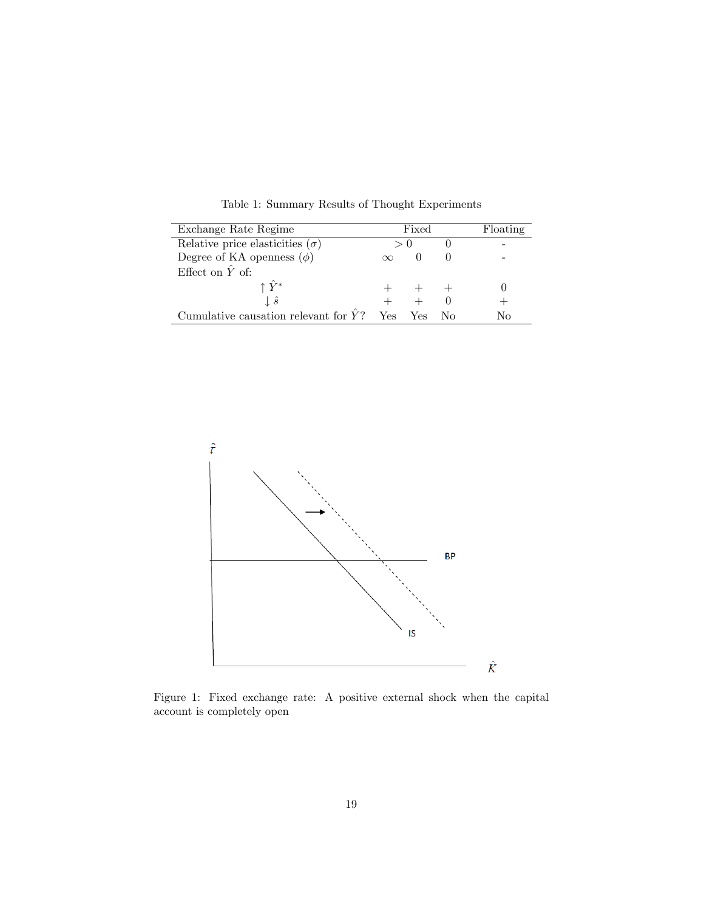| Exchange Rate Regime                    | Fixed |                   |  | Floating |
|-----------------------------------------|-------|-------------------|--|----------|
| Relative price elasticities $(\sigma)$  |       | > 0               |  |          |
| Degree of KA openness $(\phi)$          |       |                   |  |          |
| Effect on $\hat{Y}$ of:                 |       |                   |  |          |
| $\uparrow \overline{Y^*}$               |       | $+\qquad+\qquad+$ |  |          |
| $\mathbf{g}$                            |       | $+$               |  |          |
| Cumulative causation relevant for $Y$ ? | Yes.  | <b>Yes</b>        |  | Nο       |

Table 1: Summary Results of Thought Experiments



Figure 1: Fixed exchange rate: A positive external shock when the capital account is completely open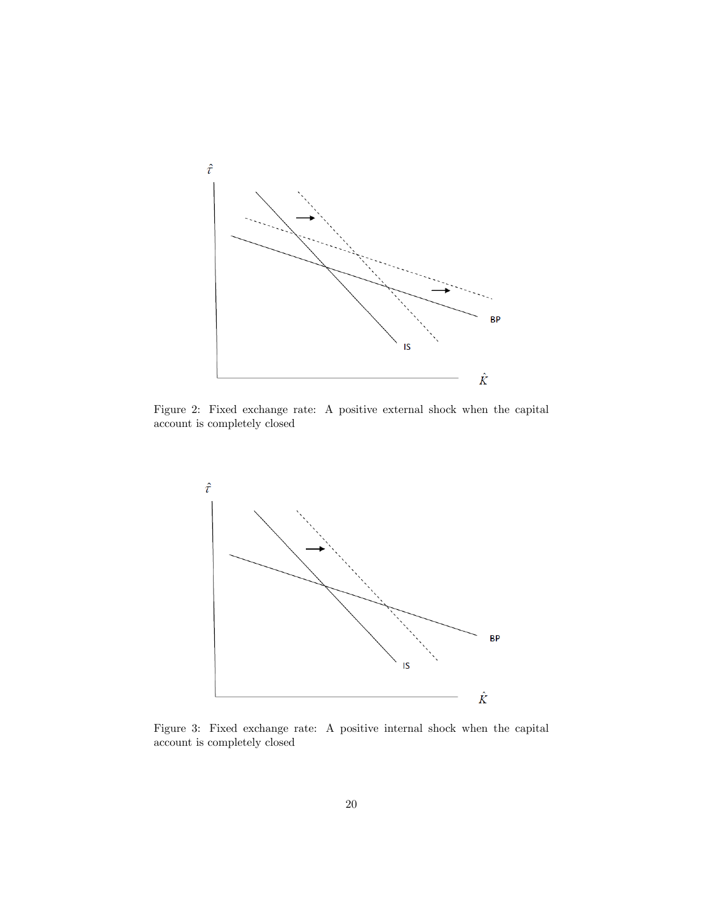

Figure 2: Fixed exchange rate: A positive external shock when the capital account is completely closed



Figure 3: Fixed exchange rate: A positive internal shock when the capital account is completely closed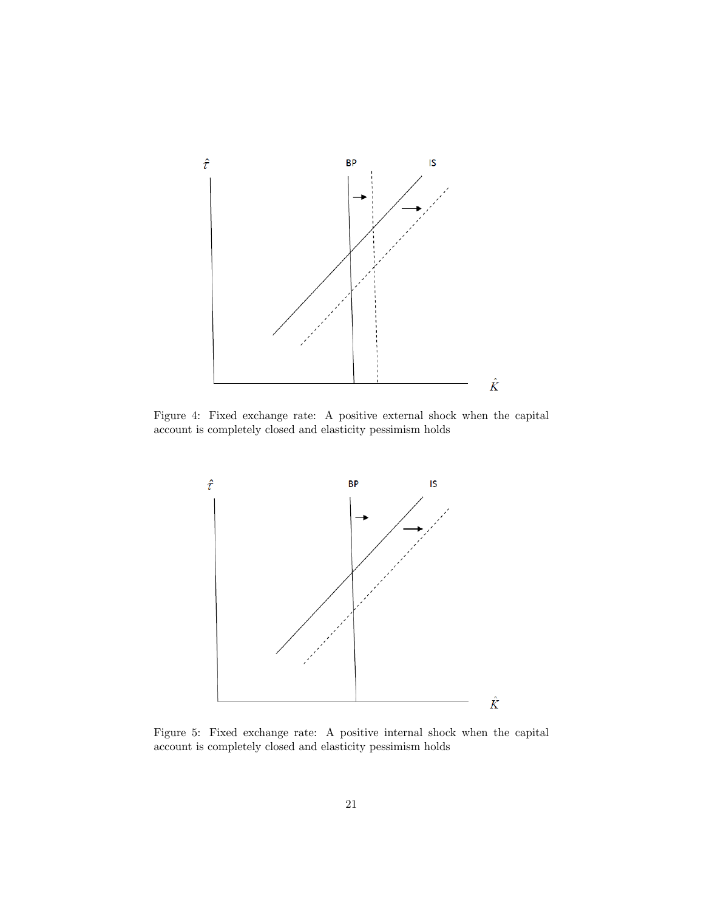

Figure 4: Fixed exchange rate: A positive external shock when the capital account is completely closed and elasticity pessimism holds



Figure 5: Fixed exchange rate: A positive internal shock when the capital account is completely closed and elasticity pessimism holds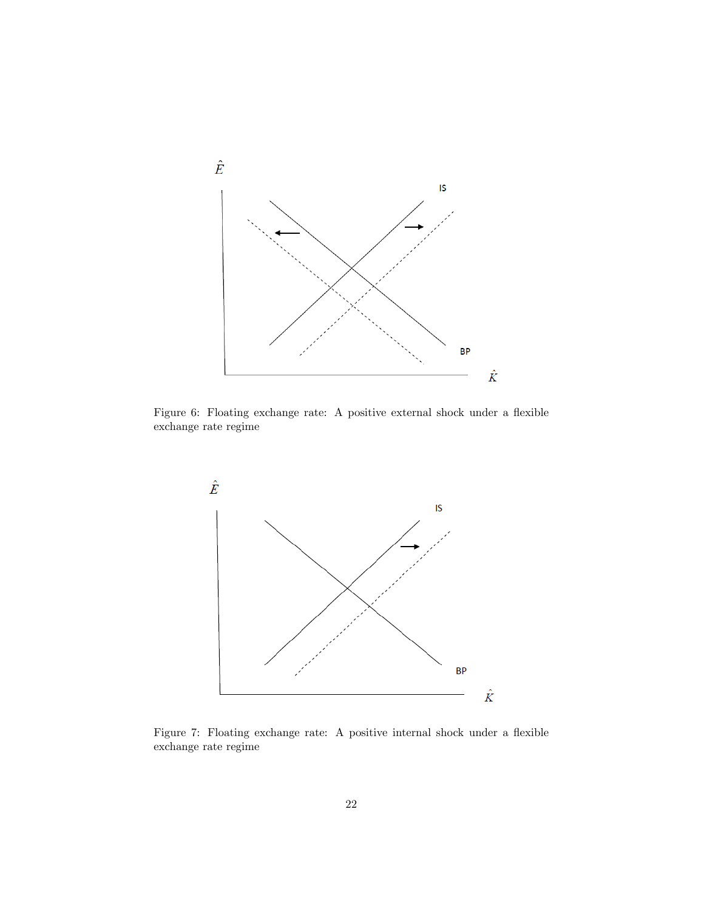

Figure 6: Floating exchange rate: A positive external shock under a flexible exchange rate regime



Figure 7: Floating exchange rate: A positive internal shock under a flexible exchange rate regime